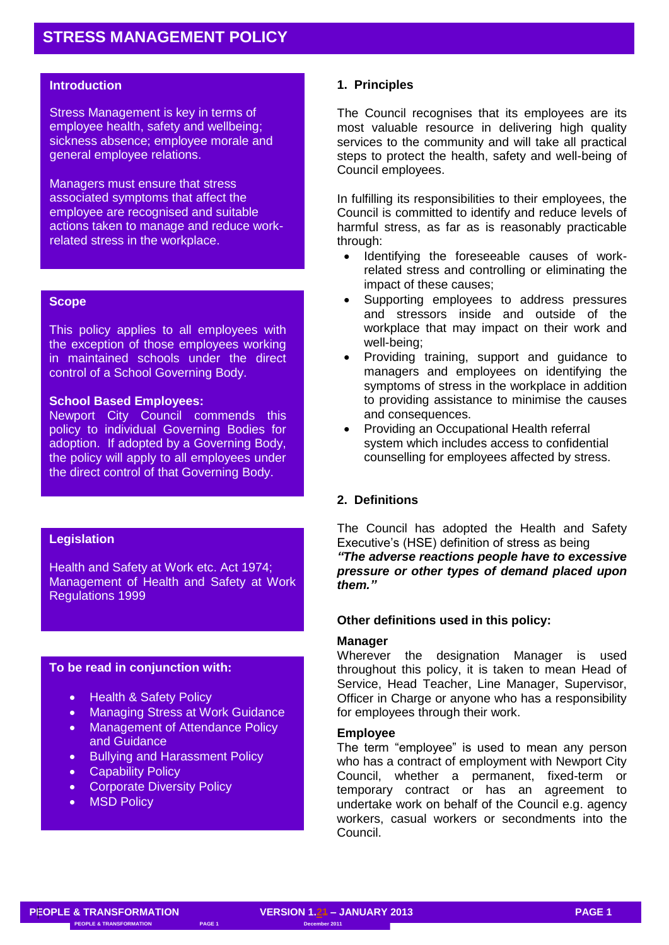### **Introduction**

Stress Management is key in terms of employee health, safety and wellbeing; sickness absence; employee morale and general employee relations.

Managers must ensure that stress associated symptoms that affect the employee are recognised and suitable actions taken to manage and reduce workrelated stress in the workplace.

#### **Scope**

This policy applies to all employees with the exception of those employees working in maintained schools under the direct control of a School Governing Body.

#### **School Based Employees:**

Newport City Council commends this policy to individual Governing Bodies for adoption. If adopted by a Governing Body, the policy will apply to all employees under the direct control of that Governing Body.

## **Legislation**

Health and Safety at Work etc. Act 1974; Management of Health and Safety at Work Regulations 1999

### **To be read in conjunction with:**

- Health & Safety Policy
- Managing Stress at Work Guidance
- Management of Attendance Policy and Guidance
- Bullying and Harassment Policy
- Capability Policy
- Corporate Diversity Policy
- MSD Policy

#### **1. Principles**

The Council recognises that its employees are its most valuable resource in delivering high quality services to the community and will take all practical steps to protect the health, safety and well-being of Council employees.

In fulfilling its responsibilities to their employees, the Council is committed to identify and reduce levels of harmful stress, as far as is reasonably practicable through:

- Identifying the foreseeable causes of workrelated stress and controlling or eliminating the impact of these causes;
- Supporting employees to address pressures and stressors inside and outside of the workplace that may impact on their work and well-being;
- Providing training, support and guidance to managers and employees on identifying the symptoms of stress in the workplace in addition to providing assistance to minimise the causes and consequences.
- Providing an Occupational Health referral system which includes access to confidential counselling for employees affected by stress.

# **2. Definitions**

The Council has adopted the Health and Safety Executive's (HSE) definition of stress as being *"The adverse reactions people have to excessive pressure or other types of demand placed upon them."*

#### **Other definitions used in this policy:**

#### **Manager**

Wherever the designation Manager is used throughout this policy, it is taken to mean Head of Service, Head Teacher, Line Manager, Supervisor, Officer in Charge or anyone who has a responsibility for employees through their work.

## **Employee**

The term "employee" is used to mean any person who has a contract of employment with Newport City Council, whether a permanent, fixed-term or temporary contract or has an agreement to undertake work on behalf of the Council e.g. agency workers, casual workers or secondments into the Council.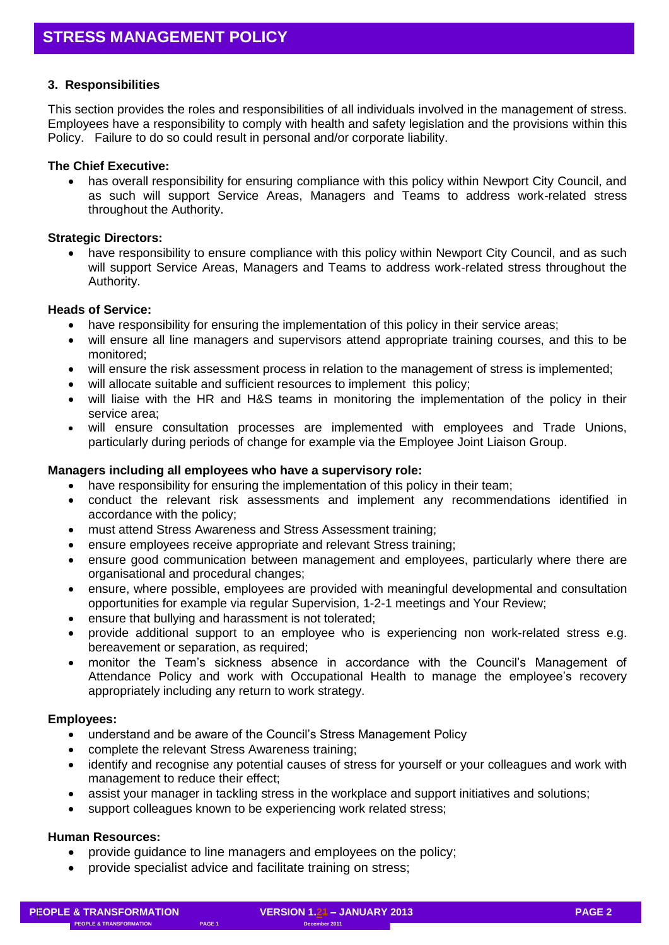# **3. Responsibilities**

This section provides the roles and responsibilities of all individuals involved in the management of stress. Employees have a responsibility to comply with health and safety legislation and the provisions within this Policy. Failure to do so could result in personal and/or corporate liability.

## **The Chief Executive:**

• has overall responsibility for ensuring compliance with this policy within Newport City Council, and as such will support Service Areas, Managers and Teams to address work-related stress throughout the Authority.

## **Strategic Directors:**

 have responsibility to ensure compliance with this policy within Newport City Council, and as such will support Service Areas, Managers and Teams to address work-related stress throughout the Authority.

# **Heads of Service:**

- have responsibility for ensuring the implementation of this policy in their service areas;
- will ensure all line managers and supervisors attend appropriate training courses, and this to be monitored;
- will ensure the risk assessment process in relation to the management of stress is implemented;
- will allocate suitable and sufficient resources to implement this policy;
- will liaise with the HR and H&S teams in monitoring the implementation of the policy in their service area;
- will ensure consultation processes are implemented with employees and Trade Unions, particularly during periods of change for example via the Employee Joint Liaison Group.

# **Managers including all employees who have a supervisory role:**

- have responsibility for ensuring the implementation of this policy in their team;
- conduct the relevant risk assessments and implement any recommendations identified in accordance with the policy;
- must attend Stress Awareness and Stress Assessment training;
- ensure employees receive appropriate and relevant Stress training;
- ensure good communication between management and employees, particularly where there are organisational and procedural changes;
- ensure, where possible, employees are provided with meaningful developmental and consultation opportunities for example via regular Supervision, 1-2-1 meetings and Your Review;
- ensure that bullying and harassment is not tolerated;
- provide additional support to an employee who is experiencing non work-related stress e.g. bereavement or separation, as required:
- monitor the Team's sickness absence in accordance with the Council's Management of Attendance Policy and work with Occupational Health to manage the employee's recovery appropriately including any return to work strategy.

## **Employees:**

- understand and be aware of the Council's Stress Management Policy
- complete the relevant Stress Awareness training;
- identify and recognise any potential causes of stress for yourself or your colleagues and work with management to reduce their effect;
- assist your manager in tackling stress in the workplace and support initiatives and solutions;
- support colleagues known to be experiencing work related stress;

# **Human Resources:**

- provide guidance to line managers and employees on the policy;
- provide specialist advice and facilitate training on stress;